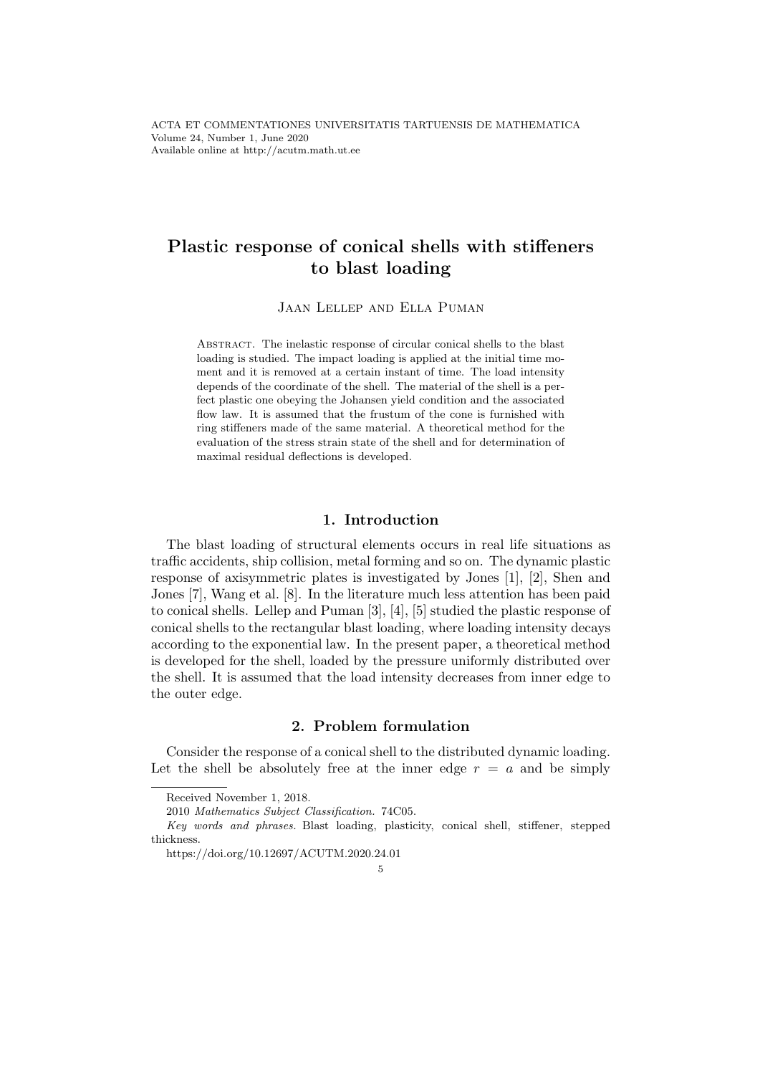# Plastic response of conical shells with stiffeners to blast loading

Jaan Lellep and Ella Puman

Abstract. The inelastic response of circular conical shells to the blast loading is studied. The impact loading is applied at the initial time moment and it is removed at a certain instant of time. The load intensity depends of the coordinate of the shell. The material of the shell is a perfect plastic one obeying the Johansen yield condition and the associated flow law. It is assumed that the frustum of the cone is furnished with ring stiffeners made of the same material. A theoretical method for the evaluation of the stress strain state of the shell and for determination of maximal residual deflections is developed.

#### 1. Introduction

The blast loading of structural elements occurs in real life situations as traffic accidents, ship collision, metal forming and so on. The dynamic plastic response of axisymmetric plates is investigated by Jones [1], [2], Shen and Jones [7], Wang et al. [8]. In the literature much less attention has been paid to conical shells. Lellep and Puman [3], [4], [5] studied the plastic response of conical shells to the rectangular blast loading, where loading intensity decays according to the exponential law. In the present paper, a theoretical method is developed for the shell, loaded by the pressure uniformly distributed over the shell. It is assumed that the load intensity decreases from inner edge to the outer edge.

#### 2. Problem formulation

Consider the response of a conical shell to the distributed dynamic loading. Let the shell be absolutely free at the inner edge  $r = a$  and be simply

Received November 1, 2018.

<sup>2010</sup> Mathematics Subject Classification. 74C05.

Key words and phrases. Blast loading, plasticity, conical shell, stiffener, stepped thickness.

https://doi.org/10.12697/ACUTM.2020.24.01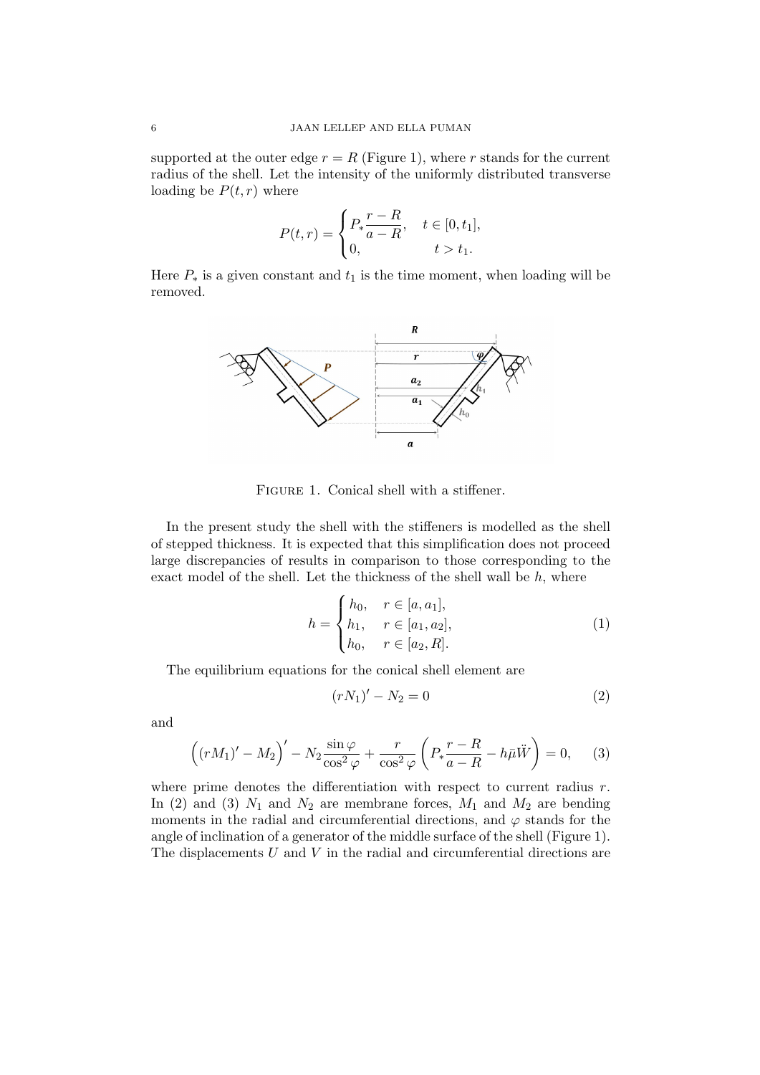supported at the outer edge  $r = R$  (Figure 1), where r stands for the current radius of the shell. Let the intensity of the uniformly distributed transverse loading be  $P(t, r)$  where

$$
P(t,r) = \begin{cases} P_* \frac{r - R}{a - R}, & t \in [0, t_1], \\ 0, & t > t_1. \end{cases}
$$

Here  $P_*$  is a given constant and  $t_1$  is the time moment, when loading will be removed.



FIGURE 1. Conical shell with a stiffener.

In the present study the shell with the stiffeners is modelled as the shell of stepped thickness. It is expected that this simplification does not proceed large discrepancies of results in comparison to those corresponding to the exact model of the shell. Let the thickness of the shell wall be  $h$ , where

$$
h = \begin{cases} h_0, & r \in [a, a_1], \\ h_1, & r \in [a_1, a_2], \\ h_0, & r \in [a_2, R]. \end{cases}
$$
 (1)

The equilibrium equations for the conical shell element are

$$
(rN_1)' - N_2 = 0 \tag{2}
$$

and

$$
((rM_1)' - M_2)' - N_2 \frac{\sin \varphi}{\cos^2 \varphi} + \frac{r}{\cos^2 \varphi} \left( P_* \frac{r - R}{a - R} - h\bar{\mu}\ddot{W} \right) = 0, \quad (3)
$$

where prime denotes the differentiation with respect to current radius  $r$ . In (2) and (3)  $N_1$  and  $N_2$  are membrane forces,  $M_1$  and  $M_2$  are bending moments in the radial and circumferential directions, and  $\varphi$  stands for the angle of inclination of a generator of the middle surface of the shell (Figure 1). The displacements  $U$  and  $V$  in the radial and circumferential directions are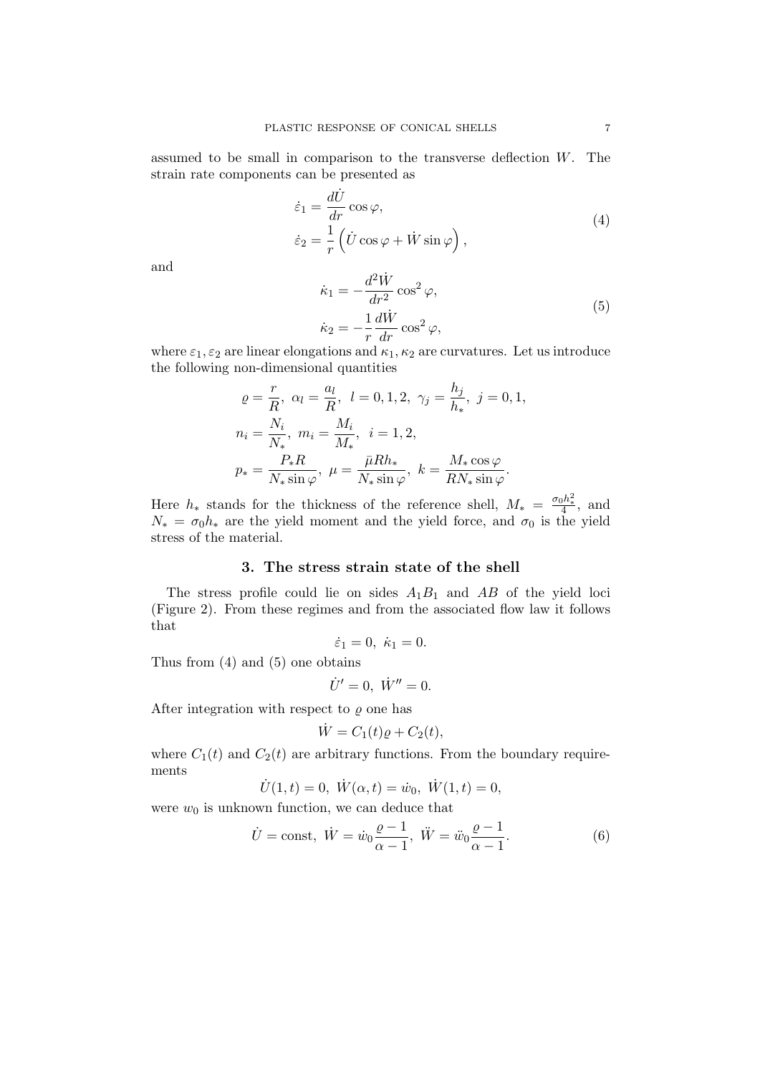assumed to be small in comparison to the transverse deflection W. The strain rate components can be presented as

$$
\begin{aligned}\n\dot{\varepsilon}_1 &= \frac{d\dot{U}}{dr} \cos \varphi, \\
\dot{\varepsilon}_2 &= \frac{1}{r} \left( \dot{U} \cos \varphi + \dot{W} \sin \varphi \right),\n\end{aligned} \tag{4}
$$

and

$$
\begin{aligned}\n\dot{\kappa}_1 &= -\frac{d^2 \dot{W}}{dr^2} \cos^2 \varphi, \\
\dot{\kappa}_2 &= -\frac{1}{r} \frac{d \dot{W}}{dr} \cos^2 \varphi,\n\end{aligned} \tag{5}
$$

where  $\varepsilon_1, \varepsilon_2$  are linear elongations and  $\kappa_1, \kappa_2$  are curvatures. Let us introduce the following non-dimensional quantities

$$
\varrho = \frac{r}{R}, \ \alpha_l = \frac{a_l}{R}, \ l = 0, 1, 2, \ \gamma_j = \frac{h_j}{h_*}, \ j = 0, 1,
$$
  

$$
n_i = \frac{N_i}{N_*}, \ m_i = \frac{M_i}{M_*}, \ i = 1, 2,
$$
  

$$
p_* = \frac{P_*R}{N_* \sin \varphi}, \ \mu = \frac{\bar{\mu}Rh_*}{N_* \sin \varphi}, \ k = \frac{M_* \cos \varphi}{RN_* \sin \varphi}.
$$

Here  $h_*$  stands for the thickness of the reference shell,  $M_* = \frac{\sigma_0 h_*^2}{4}$ , and  $N_* = \sigma_0 h_*$  are the yield moment and the yield force, and  $\sigma_0$  is the yield stress of the material.

# 3. The stress strain state of the shell

The stress profile could lie on sides  $A_1B_1$  and  $AB$  of the yield loci (Figure 2). From these regimes and from the associated flow law it follows that

$$
\dot{\varepsilon}_1=0, \ \dot{\kappa}_1=0.
$$

Thus from (4) and (5) one obtains

$$
\dot{U}' = 0, \ \dot{W}'' = 0.
$$

After integration with respect to  $\rho$  one has

$$
\dot{W} = C_1(t)\varrho + C_2(t),
$$

where  $C_1(t)$  and  $C_2(t)$  are arbitrary functions. From the boundary requirements

$$
\dot{U}(1,t) = 0, \ \dot{W}(\alpha, t) = \dot{w}_0, \ \dot{W}(1,t) = 0,
$$

were  $w_0$  is unknown function, we can deduce that

$$
\dot{U} = \text{const}, \ \dot{W} = \dot{w}_0 \frac{\varrho - 1}{\alpha - 1}, \ \ddot{W} = \ddot{w}_0 \frac{\varrho - 1}{\alpha - 1}.
$$
 (6)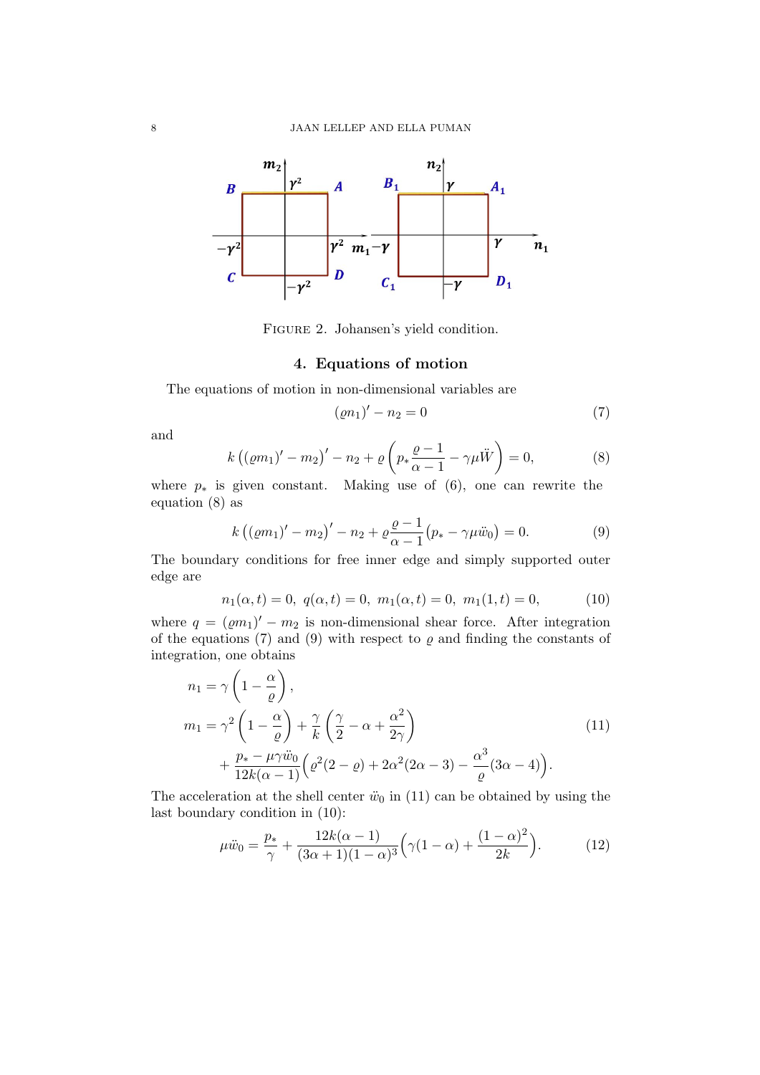

Figure 2. Johansen's yield condition.

#### 4. Equations of motion

The equations of motion in non-dimensional variables are

$$
(\varrho n_1)' - n_2 = 0 \tag{7}
$$

and

$$
k\left(\left(\varrho m_1\right)' - m_2\right)' - n_2 + \varrho \left(p_* \frac{\varrho - 1}{\alpha - 1} - \gamma \mu \ddot{W}\right) = 0,\tag{8}
$$

where  $p_*$  is given constant. Making use of (6), one can rewrite the equation (8) as

$$
k ((\varrho m_1)' - m_2)' - n_2 + \varrho \frac{\varrho - 1}{\alpha - 1} (p_* - \gamma \mu \ddot{w}_0) = 0.
$$
 (9)

The boundary conditions for free inner edge and simply supported outer edge are

$$
n_1(\alpha, t) = 0, \ q(\alpha, t) = 0, \ m_1(\alpha, t) = 0, \ m_1(1, t) = 0,
$$
 (10)

where  $q = ( \rho m_1)' - m_2$  is non-dimensional shear force. After integration of the equations (7) and (9) with respect to  $\varrho$  and finding the constants of integration, one obtains

$$
n_1 = \gamma \left( 1 - \frac{\alpha}{\varrho} \right),
$$
  
\n
$$
m_1 = \gamma^2 \left( 1 - \frac{\alpha}{\varrho} \right) + \frac{\gamma}{k} \left( \frac{\gamma}{2} - \alpha + \frac{\alpha^2}{2\gamma} \right)
$$
  
\n
$$
+ \frac{p_* - \mu \gamma \ddot{w}_0}{12k(\alpha - 1)} \left( \varrho^2 (2 - \varrho) + 2\alpha^2 (2\alpha - 3) - \frac{\alpha^3}{\varrho} (3\alpha - 4) \right).
$$
\n(11)

The acceleration at the shell center  $\ddot{w}_0$  in (11) can be obtained by using the last boundary condition in (10):

$$
\mu \ddot{w}_0 = \frac{p_*}{\gamma} + \frac{12k(\alpha - 1)}{(3\alpha + 1)(1 - \alpha)^3} \left(\gamma(1 - \alpha) + \frac{(1 - \alpha)^2}{2k}\right). \tag{12}
$$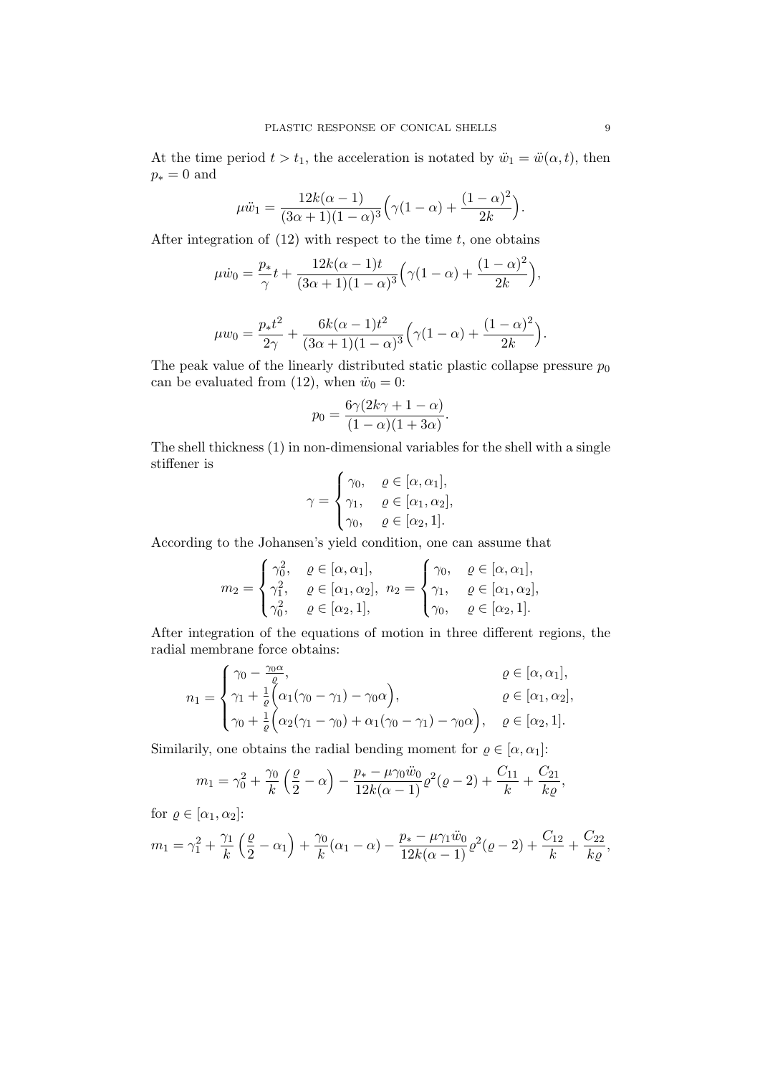At the time period  $t > t_1$ , the acceleration is notated by  $\ddot{w}_1 = \ddot{w}(\alpha, t)$ , then  $p_* = 0$  and

$$
\mu \ddot{w}_1 = \frac{12k(\alpha - 1)}{(3\alpha + 1)(1 - \alpha)^3} \left( \gamma (1 - \alpha) + \frac{(1 - \alpha)^2}{2k} \right).
$$

After integration of  $(12)$  with respect to the time t, one obtains

$$
\mu \dot{w}_0 = \frac{p_*}{\gamma} t + \frac{12k(\alpha - 1)t}{(3\alpha + 1)(1 - \alpha)^3} \left(\gamma(1 - \alpha) + \frac{(1 - \alpha)^2}{2k}\right),
$$

$$
\mu w_0 = \frac{p_* t^2}{2\gamma} + \frac{6k(\alpha - 1)t^2}{(3\alpha + 1)(1 - \alpha)^3} \left(\gamma(1 - \alpha) + \frac{(1 - \alpha)^2}{2k}\right).
$$

The peak value of the linearly distributed static plastic collapse pressure  $p_0$ can be evaluated from (12), when  $\ddot{w}_0 = 0$ :

$$
p_0 = \frac{6\gamma(2k\gamma + 1 - \alpha)}{(1 - \alpha)(1 + 3\alpha)}.
$$

The shell thickness (1) in non-dimensional variables for the shell with a single stiffener is

$$
\gamma = \begin{cases} \gamma_0, & \varrho \in [\alpha, \alpha_1], \\ \gamma_1, & \varrho \in [\alpha_1, \alpha_2], \\ \gamma_0, & \varrho \in [\alpha_2, 1]. \end{cases}
$$

According to the Johansen's yield condition, one can assume that

$$
m_2 = \begin{cases} \gamma_0^2, & \varrho \in [\alpha, \alpha_1], \\ \gamma_1^2, & \varrho \in [\alpha_1, \alpha_2], \\ \gamma_0^2, & \varrho \in [\alpha_2, 1], \end{cases} n_2 = \begin{cases} \gamma_0, & \varrho \in [\alpha, \alpha_1], \\ \gamma_1, & \varrho \in [\alpha_1, \alpha_2], \\ \gamma_0, & \varrho \in [\alpha_2, 1]. \end{cases}
$$

After integration of the equations of motion in three different regions, the radial membrane force obtains:

$$
n_1 = \begin{cases} \gamma_0 - \frac{\gamma_0 \alpha}{\varrho}, & \varrho \in [\alpha, \alpha_1], \\ \gamma_1 + \frac{1}{\varrho} \left( \alpha_1 (\gamma_0 - \gamma_1) - \gamma_0 \alpha \right), & \varrho \in [\alpha_1, \alpha_2], \\ \gamma_0 + \frac{1}{\varrho} \left( \alpha_2 (\gamma_1 - \gamma_0) + \alpha_1 (\gamma_0 - \gamma_1) - \gamma_0 \alpha \right), & \varrho \in [\alpha_2, 1]. \end{cases}
$$

Similarily, one obtains the radial bending moment for  $\rho \in [\alpha, \alpha_1]$ :

$$
m_1 = \gamma_0^2 + \frac{\gamma_0}{k} \left(\frac{\varrho}{2} - \alpha\right) - \frac{p_* - \mu \gamma_0 \ddot{w}_0}{12k(\alpha - 1)} \varrho^2(\varrho - 2) + \frac{C_{11}}{k} + \frac{C_{21}}{k\varrho},
$$

for  $\varrho \in [\alpha_1, \alpha_2]$ :

$$
m_1 = \gamma_1^2 + \frac{\gamma_1}{k} \left(\frac{\varrho}{2} - \alpha_1\right) + \frac{\gamma_0}{k} (\alpha_1 - \alpha) - \frac{p_* - \mu \gamma_1 \ddot{w}_0}{12k(\alpha - 1)} \varrho^2 (\varrho - 2) + \frac{C_{12}}{k} + \frac{C_{22}}{k \varrho},
$$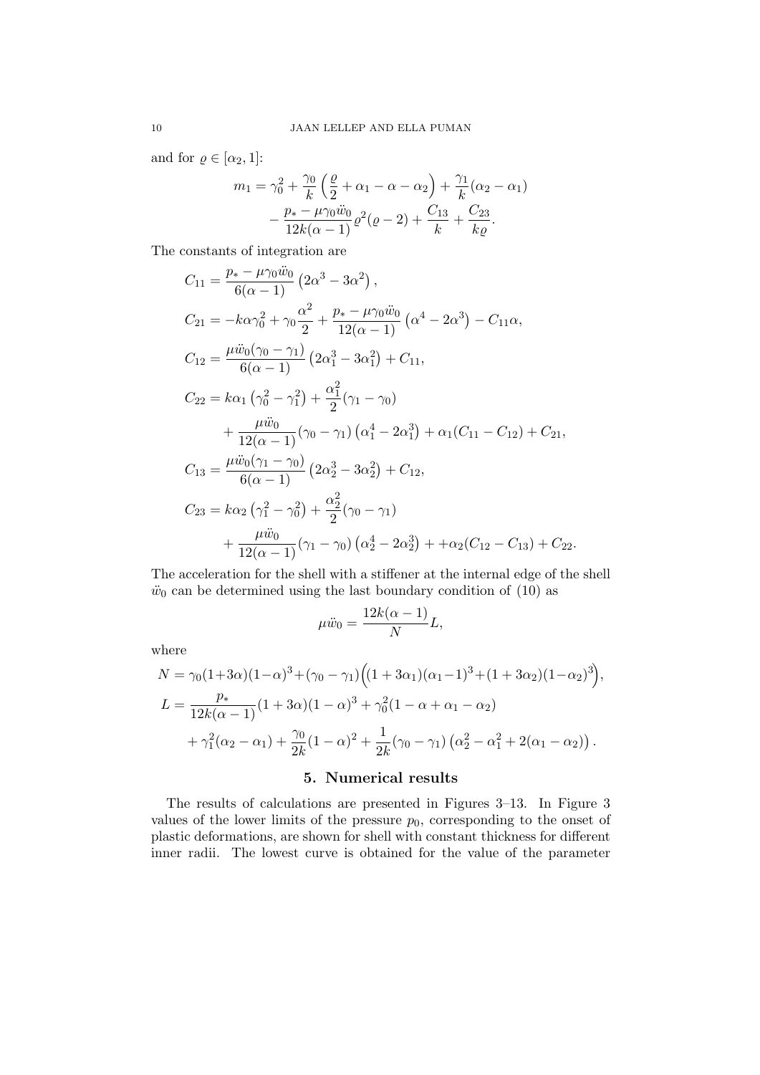and for  $\varrho \in [\alpha_2, 1]$ :

$$
m_1 = \gamma_0^2 + \frac{\gamma_0}{k} \left( \frac{\varrho}{2} + \alpha_1 - \alpha - \alpha_2 \right) + \frac{\gamma_1}{k} (\alpha_2 - \alpha_1)
$$

$$
- \frac{p_* - \mu \gamma_0 \ddot{w}_0}{12k(\alpha - 1)} \varrho^2 (\varrho - 2) + \frac{C_{13}}{k} + \frac{C_{23}}{k \varrho}.
$$

The constants of integration are

$$
C_{11} = \frac{p_{*} - \mu \gamma_{0} \ddot{w}_{0}}{6(\alpha - 1)} \left(2\alpha^{3} - 3\alpha^{2}\right),
$$
  
\n
$$
C_{21} = -k\alpha \gamma_{0}^{2} + \gamma_{0} \frac{\alpha^{2}}{2} + \frac{p_{*} - \mu \gamma_{0} \ddot{w}_{0}}{12(\alpha - 1)} \left(\alpha^{4} - 2\alpha^{3}\right) - C_{11}\alpha,
$$
  
\n
$$
C_{12} = \frac{\mu \ddot{w}_{0}(\gamma_{0} - \gamma_{1})}{6(\alpha - 1)} \left(2\alpha_{1}^{3} - 3\alpha_{1}^{2}\right) + C_{11},
$$
  
\n
$$
C_{22} = k\alpha_{1} \left(\gamma_{0}^{2} - \gamma_{1}^{2}\right) + \frac{\alpha_{1}^{2}}{2}(\gamma_{1} - \gamma_{0}) + \frac{\mu \ddot{w}_{0}}{12(\alpha - 1)}(\gamma_{0} - \gamma_{1})\left(\alpha_{1}^{4} - 2\alpha_{1}^{3}\right) + \alpha_{1}(C_{11} - C_{12}) + C_{21},
$$
  
\n
$$
C_{13} = \frac{\mu \ddot{w}_{0}(\gamma_{1} - \gamma_{0})}{6(\alpha - 1)} \left(2\alpha_{2}^{3} - 3\alpha_{2}^{2}\right) + C_{12},
$$
  
\n
$$
C_{23} = k\alpha_{2} \left(\gamma_{1}^{2} - \gamma_{0}^{2}\right) + \frac{\alpha_{2}^{2}}{2}(\gamma_{0} - \gamma_{1}) + \frac{\mu \ddot{w}_{0}}{12(\alpha - 1)}(\gamma_{1} - \gamma_{0})\left(\alpha_{2}^{4} - 2\alpha_{2}^{3}\right) + \alpha_{2}(C_{12} - C_{13}) + C_{22}.
$$

The acceleration for the shell with a stiffener at the internal edge of the shell  $\ddot{w}_0$  can be determined using the last boundary condition of (10) as

$$
\mu \ddot{w}_0 = \frac{12k(\alpha - 1)}{N}L,
$$

where

$$
N = \gamma_0 (1+3\alpha)(1-\alpha)^3 + (\gamma_0 - \gamma_1) ((1+3\alpha_1)(\alpha_1 - 1)^3 + (1+3\alpha_2)(1-\alpha_2)^3),
$$
  
\n
$$
L = \frac{p_*}{12k(\alpha - 1)} (1+3\alpha)(1-\alpha)^3 + \gamma_0^2 (1-\alpha + \alpha_1 - \alpha_2)
$$
  
\n
$$
+ \gamma_1^2 (\alpha_2 - \alpha_1) + \frac{\gamma_0}{2k} (1-\alpha)^2 + \frac{1}{2k} (\gamma_0 - \gamma_1) (\alpha_2^2 - \alpha_1^2 + 2(\alpha_1 - \alpha_2)).
$$

## 5. Numerical results

The results of calculations are presented in Figures 3–13. In Figure 3 values of the lower limits of the pressure  $p_0$ , corresponding to the onset of plastic deformations, are shown for shell with constant thickness for different inner radii. The lowest curve is obtained for the value of the parameter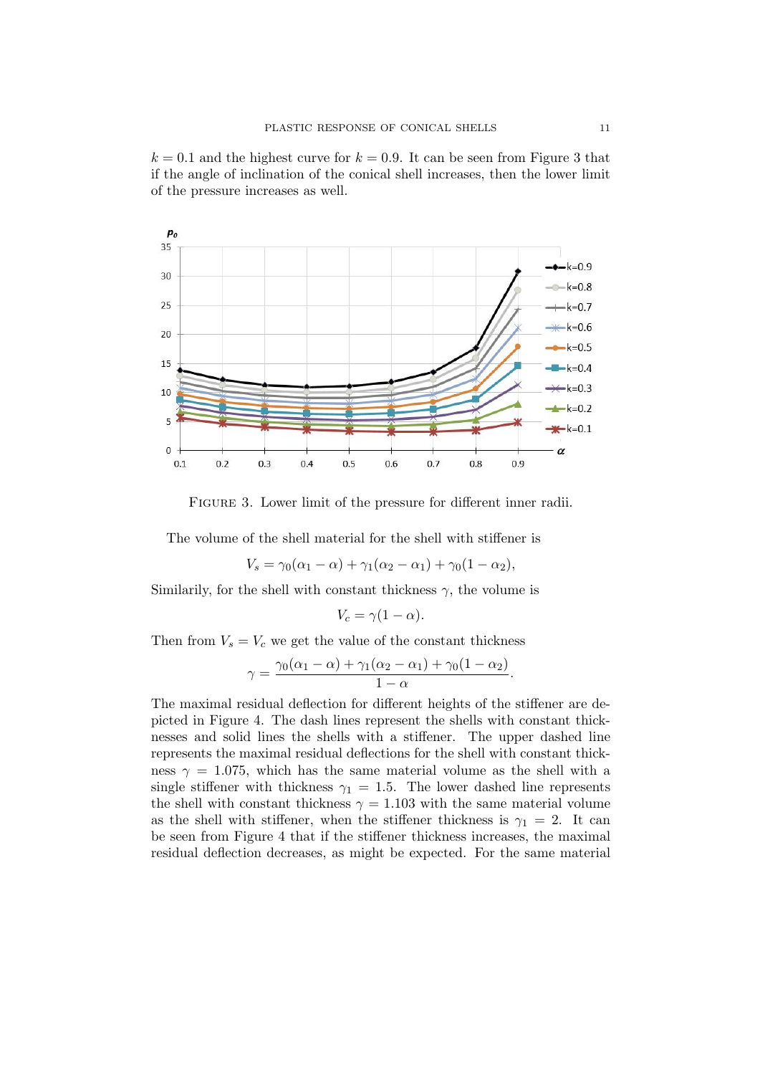$k = 0.1$  and the highest curve for  $k = 0.9$ . It can be seen from Figure 3 that if the angle of inclination of the conical shell increases, then the lower limit of the pressure increases as well.



FIGURE 3. Lower limit of the pressure for different inner radii.

The volume of the shell material for the shell with stiffener is

$$
V_s = \gamma_0(\alpha_1 - \alpha) + \gamma_1(\alpha_2 - \alpha_1) + \gamma_0(1 - \alpha_2),
$$

Similarily, for the shell with constant thickness  $\gamma$ , the volume is

$$
V_c = \gamma (1 - \alpha).
$$

Then from  $V_s = V_c$  we get the value of the constant thickness

$$
\gamma = \frac{\gamma_0(\alpha_1 - \alpha) + \gamma_1(\alpha_2 - \alpha_1) + \gamma_0(1 - \alpha_2)}{1 - \alpha}.
$$

The maximal residual deflection for different heights of the stiffener are depicted in Figure 4. The dash lines represent the shells with constant thicknesses and solid lines the shells with a stiffener. The upper dashed line represents the maximal residual deflections for the shell with constant thickness  $\gamma = 1.075$ , which has the same material volume as the shell with a single stiffener with thickness  $\gamma_1 = 1.5$ . The lower dashed line represents the shell with constant thickness  $\gamma = 1.103$  with the same material volume as the shell with stiffener, when the stiffener thickness is  $\gamma_1 = 2$ . It can be seen from Figure 4 that if the stiffener thickness increases, the maximal residual deflection decreases, as might be expected. For the same material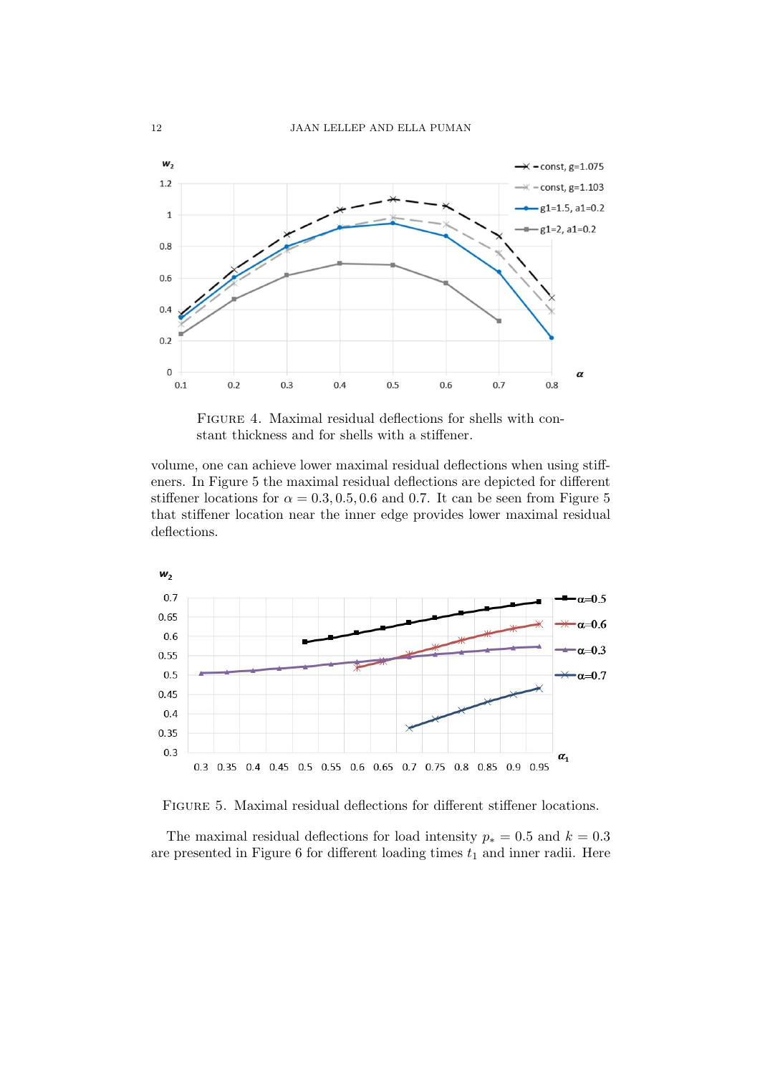

FIGURE 4. Maximal residual deflections for shells with constant thickness and for shells with a stiffener.

volume, one can achieve lower maximal residual deflections when using stiffeners. In Figure 5 the maximal residual deflections are depicted for different stiffener locations for  $\alpha = 0.3, 0.5, 0.6$  and 0.7. It can be seen from Figure 5 that stiffener location near the inner edge provides lower maximal residual deflections.



Figure 5. Maximal residual deflections for different stiffener locations.

The maximal residual deflections for load intensity  $p_* = 0.5$  and  $k = 0.3$ are presented in Figure 6 for different loading times  $t_1$  and inner radii. Here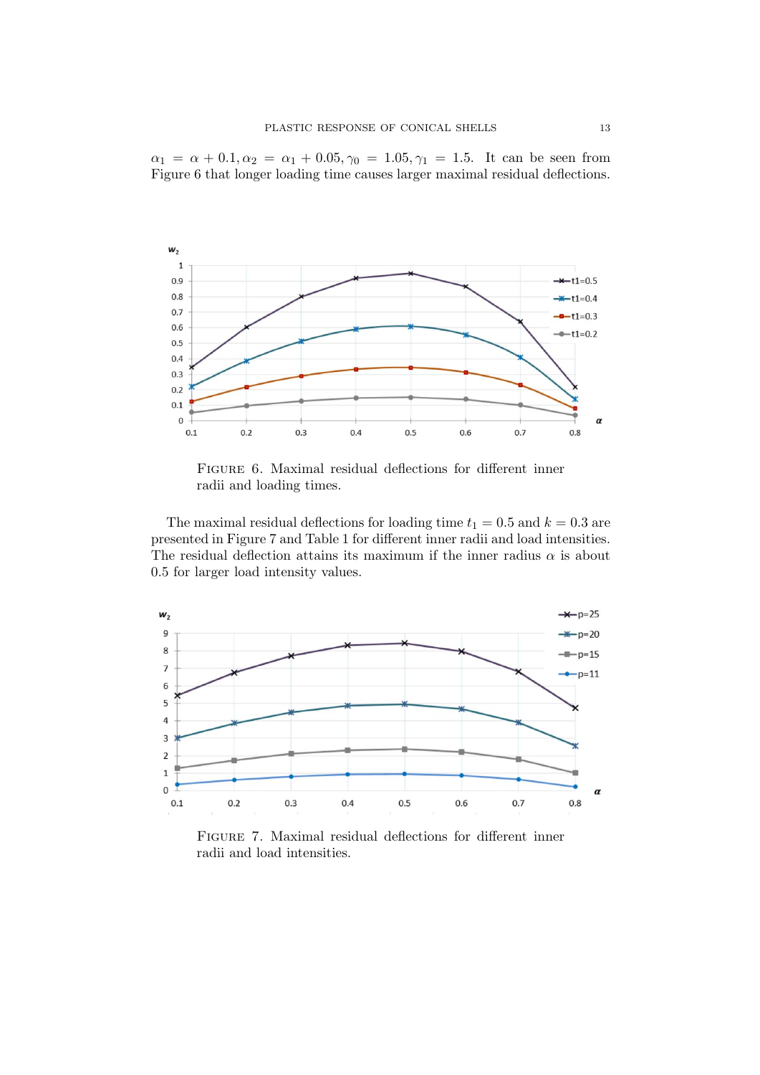$\alpha_1 = \alpha + 0.1, \alpha_2 = \alpha_1 + 0.05, \gamma_0 = 1.05, \gamma_1 = 1.5$ . It can be seen from Figure 6 that longer loading time causes larger maximal residual deflections.



FIGURE 6. Maximal residual deflections for different inner radii and loading times.

The maximal residual deflections for loading time  $t_1 = 0.5$  and  $k = 0.3$  are presented in Figure 7 and Table 1 for different inner radii and load intensities. The residual deflection attains its maximum if the inner radius  $\alpha$  is about 0.5 for larger load intensity values.



Figure 7. Maximal residual deflections for different inner radii and load intensities.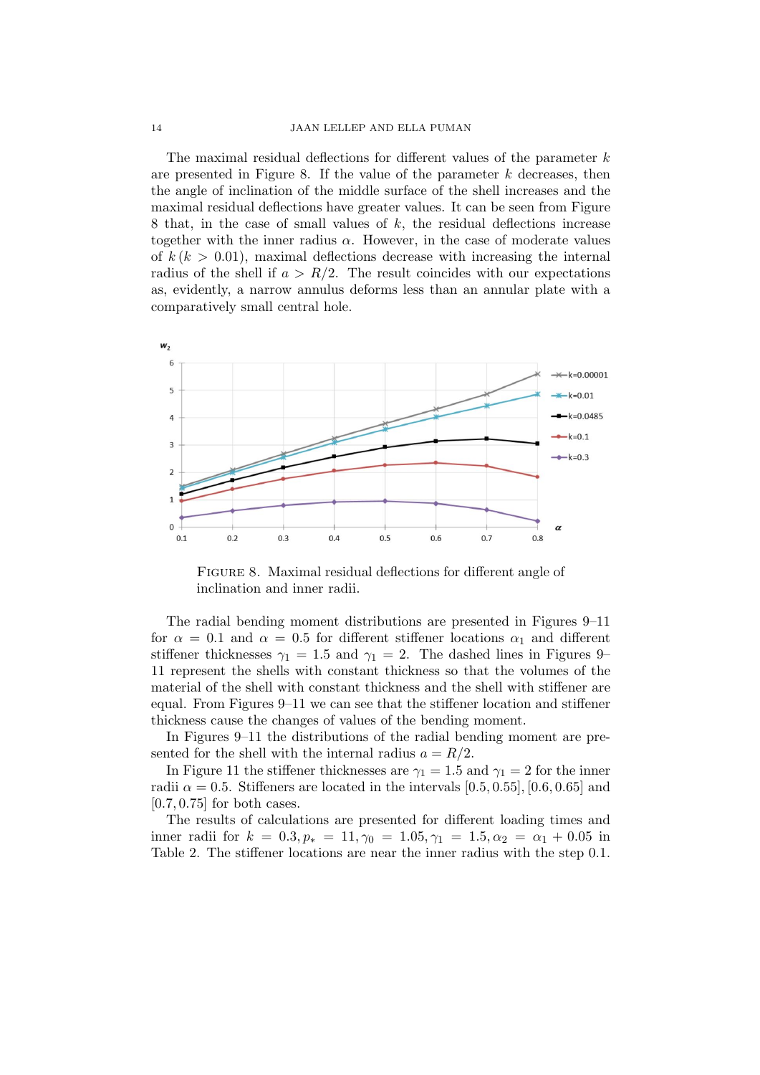#### 14 JAAN LELLEP AND ELLA PUMAN

The maximal residual deflections for different values of the parameter  $k$ are presented in Figure 8. If the value of the parameter  $k$  decreases, then the angle of inclination of the middle surface of the shell increases and the maximal residual deflections have greater values. It can be seen from Figure 8 that, in the case of small values of k, the residual deflections increase together with the inner radius  $\alpha$ . However, in the case of moderate values of  $k (k > 0.01)$ , maximal deflections decrease with increasing the internal radius of the shell if  $a > R/2$ . The result coincides with our expectations as, evidently, a narrow annulus deforms less than an annular plate with a comparatively small central hole.



FIGURE 8. Maximal residual deflections for different angle of inclination and inner radii.

The radial bending moment distributions are presented in Figures 9–11 for  $\alpha = 0.1$  and  $\alpha = 0.5$  for different stiffener locations  $\alpha_1$  and different stiffener thicknesses  $\gamma_1 = 1.5$  and  $\gamma_1 = 2$ . The dashed lines in Figures 9– 11 represent the shells with constant thickness so that the volumes of the material of the shell with constant thickness and the shell with stiffener are equal. From Figures 9–11 we can see that the stiffener location and stiffener thickness cause the changes of values of the bending moment.

In Figures 9–11 the distributions of the radial bending moment are presented for the shell with the internal radius  $a = R/2$ .

In Figure 11 the stiffener thicknesses are  $\gamma_1 = 1.5$  and  $\gamma_1 = 2$  for the inner radii  $\alpha = 0.5$ . Stiffeners are located in the intervals [0.5, 0.55], [0.6, 0.65] and [0.7, 0.75] for both cases.

The results of calculations are presented for different loading times and inner radii for  $k = 0.3, p_* = 11, \gamma_0 = 1.05, \gamma_1 = 1.5, \alpha_2 = \alpha_1 + 0.05$  in Table 2. The stiffener locations are near the inner radius with the step 0.1.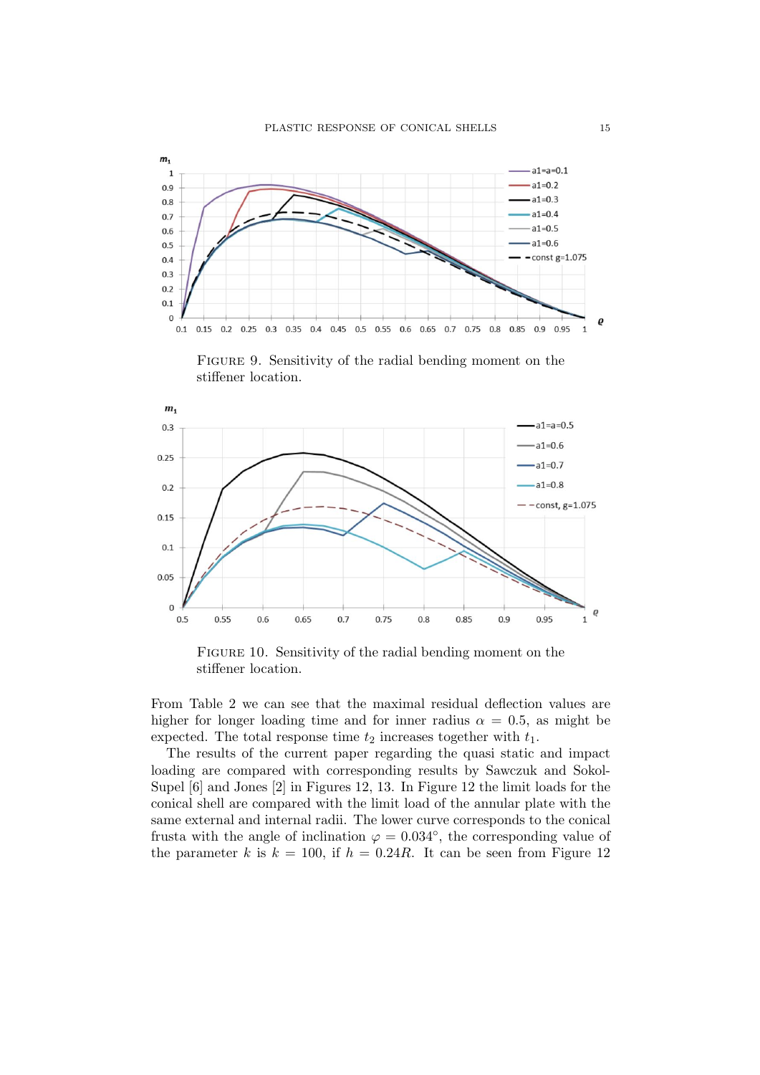

FIGURE 9. Sensitivity of the radial bending moment on the stiffener location.



FIGURE 10. Sensitivity of the radial bending moment on the stiffener location.

From Table 2 we can see that the maximal residual deflection values are higher for longer loading time and for inner radius  $\alpha = 0.5$ , as might be expected. The total response time  $t_2$  increases together with  $t_1$ .

The results of the current paper regarding the quasi static and impact loading are compared with corresponding results by Sawczuk and Sokol-Supel [6] and Jones [2] in Figures 12, 13. In Figure 12 the limit loads for the conical shell are compared with the limit load of the annular plate with the same external and internal radii. The lower curve corresponds to the conical frusta with the angle of inclination  $\varphi = 0.034^{\circ}$ , the corresponding value of the parameter k is  $k = 100$ , if  $h = 0.24R$ . It can be seen from Figure 12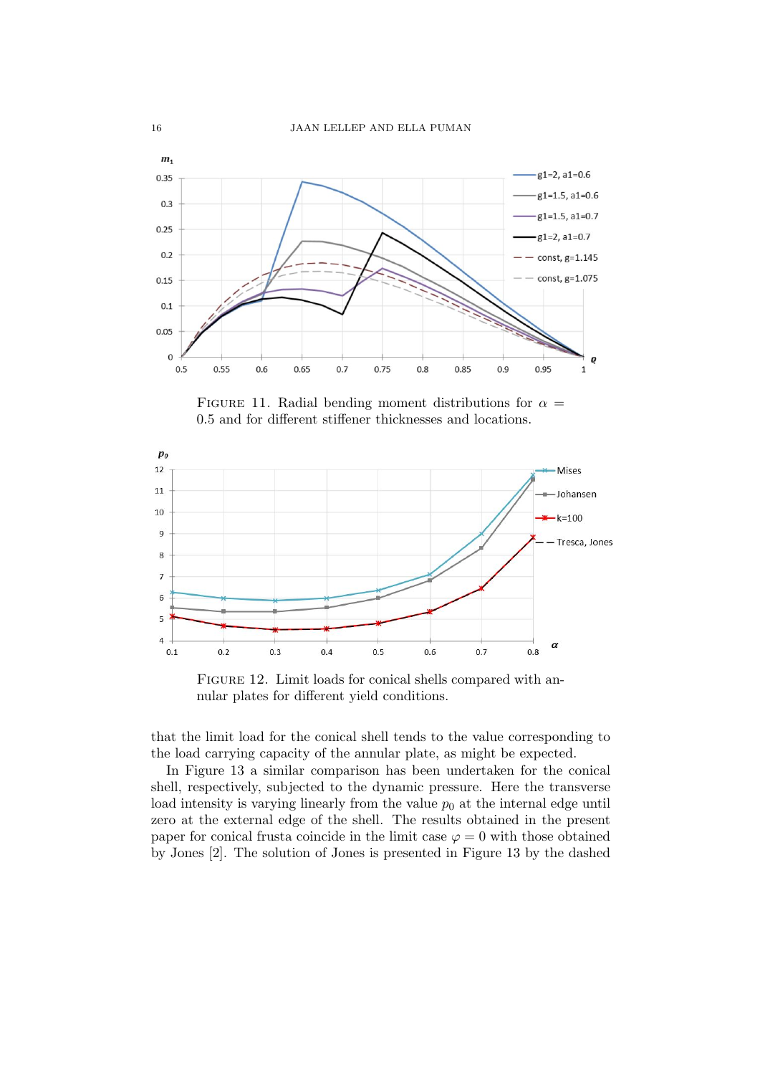

FIGURE 11. Radial bending moment distributions for  $\alpha =$ 0.5 and for different stiffener thicknesses and locations.



FIGURE 12. Limit loads for conical shells compared with annular plates for different yield conditions.

that the limit load for the conical shell tends to the value corresponding to the load carrying capacity of the annular plate, as might be expected.

In Figure 13 a similar comparison has been undertaken for the conical shell, respectively, subjected to the dynamic pressure. Here the transverse load intensity is varying linearly from the value  $p_0$  at the internal edge until zero at the external edge of the shell. The results obtained in the present paper for conical frusta coincide in the limit case  $\varphi = 0$  with those obtained by Jones [2]. The solution of Jones is presented in Figure 13 by the dashed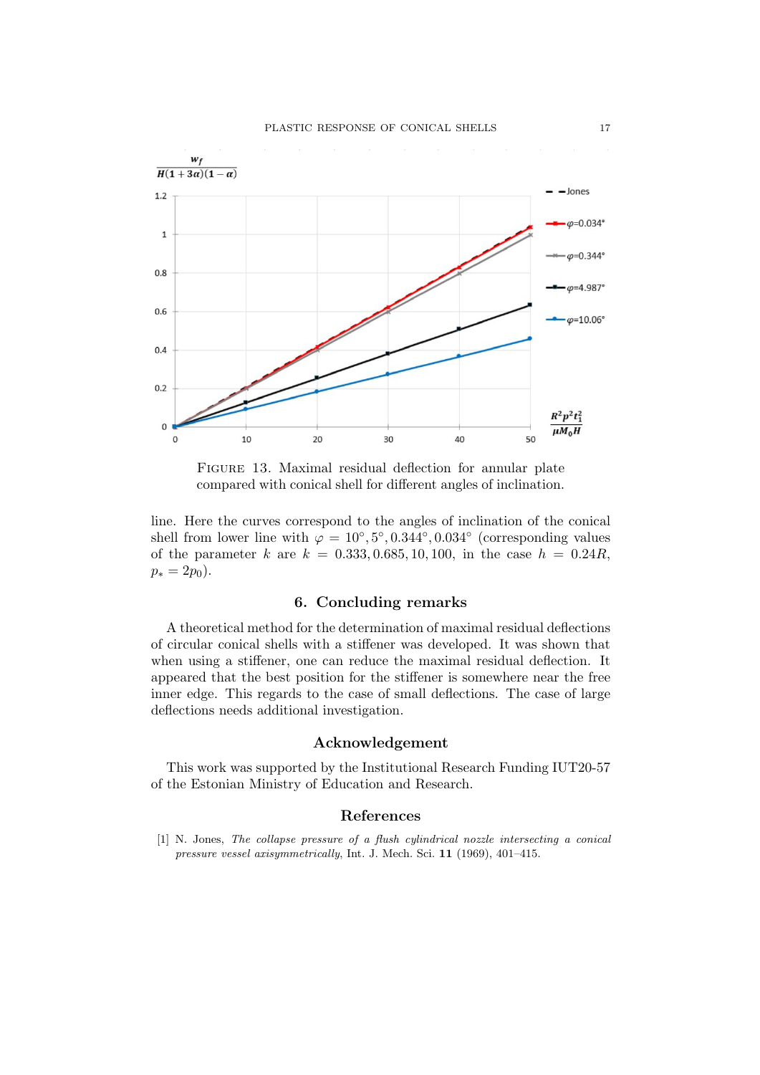

FIGURE 13. Maximal residual deflection for annular plate compared with conical shell for different angles of inclination.

line. Here the curves correspond to the angles of inclination of the conical shell from lower line with  $\varphi = 10^{\circ}, 5^{\circ}, 0.344^{\circ}, 0.034^{\circ}$  (corresponding values of the parameter k are  $k = 0.333, 0.685, 10, 100$ , in the case  $h = 0.24R$ .  $p_* = 2p_0$ .

### 6. Concluding remarks

A theoretical method for the determination of maximal residual deflections of circular conical shells with a stiffener was developed. It was shown that when using a stiffener, one can reduce the maximal residual deflection. It appeared that the best position for the stiffener is somewhere near the free inner edge. This regards to the case of small deflections. The case of large deflections needs additional investigation.

#### Acknowledgement

This work was supported by the Institutional Research Funding IUT20-57 of the Estonian Ministry of Education and Research.

# References

[1] N. Jones, The collapse pressure of a flush cylindrical nozzle intersecting a conical pressure vessel axisymmetrically, Int. J. Mech. Sci. 11 (1969), 401–415.